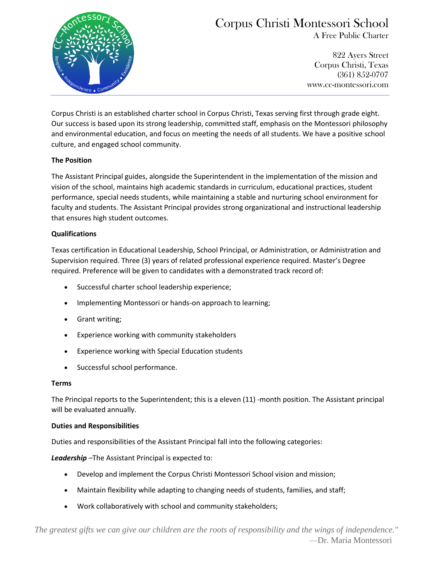

# Corpus Christi Montessori School

A Free Public Charter

 822 Ayers Street Corpus Christi, Texas (361) 852-0707 www.cc-montessori.com

Corpus Christi is an established charter school in Corpus Christi, Texas serving first through grade eight. Our success is based upon its strong leadership, committed staff, emphasis on the Montessori philosophy and environmental education, and focus on meeting the needs of all students. We have a positive school culture, and engaged school community.

## **The Position**

The Assistant Principal guides, alongside the Superintendent in the implementation of the mission and vision of the school, maintains high academic standards in curriculum, educational practices, student performance, special needs students, while maintaining a stable and nurturing school environment for faculty and students. The Assistant Principal provides strong organizational and instructional leadership that ensures high student outcomes.

### **Qualifications**

Texas certification in Educational Leadership, School Principal, or Administration, or Administration and Supervision required. Three (3) years of related professional experience required. Master's Degree required. Preference will be given to candidates with a demonstrated track record of:

- Successful charter school leadership experience;
- Implementing Montessori or hands-on approach to learning;
- Grant writing;
- Experience working with community stakeholders
- Experience working with Special Education students
- Successful school performance.

### **Terms**

The Principal reports to the Superintendent; this is a eleven (11) -month position. The Assistant principal will be evaluated annually.

### **Duties and Responsibilities**

Duties and responsibilities of the Assistant Principal fall into the following categories:

*Leadership* –The Assistant Principal is expected to:

- Develop and implement the Corpus Christi Montessori School vision and mission;
- Maintain flexibility while adapting to changing needs of students, families, and staff;
- Work collaboratively with school and community stakeholders;

*"The greatest gifts we can give our children are the roots of responsibility and the wings of independence."* —Dr. Maria Montessori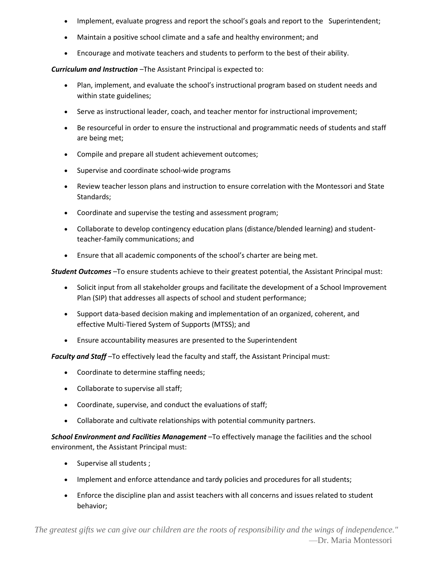- Implement, evaluate progress and report the school's goals and report to the Superintendent;
- Maintain a positive school climate and a safe and healthy environment; and
- Encourage and motivate teachers and students to perform to the best of their ability.

*Curriculum and Instruction* –The Assistant Principal is expected to:

- Plan, implement, and evaluate the school's instructional program based on student needs and within state guidelines;
- Serve as instructional leader, coach, and teacher mentor for instructional improvement;
- Be resourceful in order to ensure the instructional and programmatic needs of students and staff are being met;
- Compile and prepare all student achievement outcomes;
- Supervise and coordinate school-wide programs
- Review teacher lesson plans and instruction to ensure correlation with the Montessori and State Standards;
- Coordinate and supervise the testing and assessment program;
- Collaborate to develop contingency education plans (distance/blended learning) and studentteacher-family communications; and
- Ensure that all academic components of the school's charter are being met.

*Student Outcomes* –To ensure students achieve to their greatest potential, the Assistant Principal must:

- Solicit input from all stakeholder groups and facilitate the development of a School Improvement Plan (SIP) that addresses all aspects of school and student performance;
- Support data-based decision making and implementation of an organized, coherent, and effective Multi-Tiered System of Supports (MTSS); and
- Ensure accountability measures are presented to the Superintendent

*Faculty and Staff* –To effectively lead the faculty and staff, the Assistant Principal must:

- Coordinate to determine staffing needs;
- Collaborate to supervise all staff;
- Coordinate, supervise, and conduct the evaluations of staff;
- Collaborate and cultivate relationships with potential community partners.

*School Environment and Facilities Management* –To effectively manage the facilities and the school environment, the Assistant Principal must:

- Supervise all students ;
- Implement and enforce attendance and tardy policies and procedures for all students;
- Enforce the discipline plan and assist teachers with all concerns and issues related to student behavior;